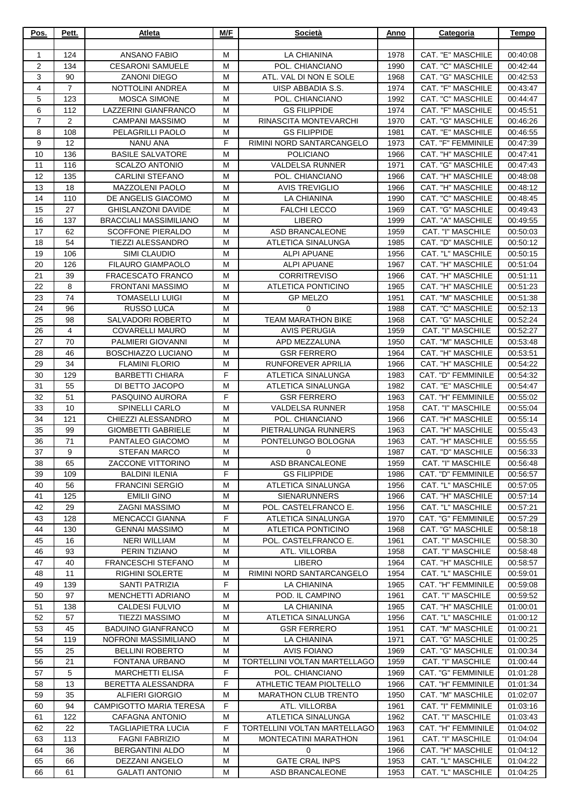| Pos.           | Pett.          | Atleta                                             | M/F    | Società                                              | Anno         | Categoria                               | Tempo                |
|----------------|----------------|----------------------------------------------------|--------|------------------------------------------------------|--------------|-----------------------------------------|----------------------|
| 1              | 124            | <b>ANSANO FABIO</b>                                | M      | <b>LA CHIANINA</b>                                   | 1978         | CAT. "E" MASCHILE                       | 00:40:08             |
| $\overline{2}$ | 134            | <b>CESARONI SAMUELE</b>                            | M      | POL. CHIANCIANO                                      | 1990         | <b>CAT. "C" MASCHILE</b>                | 00:42:44             |
| 3              | 90             | <b>ZANONI DIEGO</b>                                | м      | ATL. VAL DI NON E SOLE                               | 1968         | CAT. "G" MASCHILE                       | 00:42:53             |
| 4              | $\overline{7}$ | NOTTOLINI ANDREA                                   | м      | UISP ABBADIA S.S.                                    | 1974         | CAT. "F" MASCHILE                       | 00:43:47             |
| 5              | 123            | <b>MOSCA SIMONE</b>                                | м      | POL. CHIANCIANO                                      | 1992         | CAT. "C" MASCHILE                       | 00:44:47             |
| 6              | 112            | LAZZERINI GIANFRANCO                               | M      | <b>GS FILIPPIDE</b>                                  | 1974         | CAT. "F" MASCHILE                       | 00:45:51             |
| $\overline{7}$ | $\overline{2}$ | <b>CAMPANI MASSIMO</b>                             | м      | RINASCITA MONTEVARCHI                                | 1970         | CAT. "G" MASCHILE                       | 00:46:26             |
| 8<br>9         | 108<br>12      | PELAGRILLI PAOLO<br><b>NANU ANA</b>                | M<br>F | <b>GS FILIPPIDE</b><br>RIMINI NORD SANTARCANGELO     | 1981<br>1973 | CAT. "E" MASCHILE<br>CAT. "F" FEMMINILE | 00:46:55<br>00:47:39 |
| 10             | 136            | <b>BASILE SALVATORE</b>                            | м      | <b>POLICIANO</b>                                     | 1966         | CAT. "H" MASCHILE                       | 00:47:41             |
| 11             | 116            | <b>SCALZO ANTONIO</b>                              | м      | <b>VALDELSA RUNNER</b>                               | 1971         | CAT. "G" MASCHILE                       | 00:47:43             |
| 12             | 135            | <b>CARLINI STEFANO</b>                             | M      | POL. CHIANCIANO                                      | 1966         | CAT. "H" MASCHILE                       | 00:48:08             |
| 13             | 18             | <b>MAZZOLENI PAOLO</b>                             | м      | <b>AVIS TREVIGLIO</b>                                | 1966         | CAT. "H" MASCHILE                       | 00:48:12             |
| 14             | 110            | DE ANGELIS GIACOMO                                 | м      | LA CHIANINA                                          | 1990         | CAT. "C" MASCHILE                       | 00:48:45             |
| 15             | 27             | <b>GHISLANZONI DAVIDE</b>                          | M      | <b>FALCHI LECCO</b>                                  | 1969         | CAT. "G" MASCHILE                       | 00:49:43             |
| 16             | 137            | <b>BRACCIALI MASSIMILIANO</b>                      | м      | <b>LIBERO</b>                                        | 1999         | CAT. "A" MASCHILE                       | 00:49:55             |
| 17             | 62             | <b>SCOFFONE PIERALDO</b>                           | м      | ASD BRANCALEONE                                      | 1959         | CAT. "I" MASCHILE                       | 00:50:03             |
| 18             | 54             | <b>TIEZZI ALESSANDRO</b>                           | M      | <b>ATLETICA SINALUNGA</b>                            | 1985         | CAT. "D" MASCHILE                       | 00:50:12             |
| 19<br>20       | 106<br>126     | SIMI CLAUDIO<br>FILAURO GIAMPAOLO                  | M<br>M | <b>ALPI APUANE</b><br><b>ALPI APUANE</b>             | 1956<br>1967 | CAT. "L" MASCHILE<br>CAT. "H" MASCHILE  | 00:50:15<br>00:51:04 |
| 21             | 39             | FRACESCATO FRANCO                                  | M      | <b>CORRITREVISO</b>                                  | 1966         | CAT. "H" MASCHILE                       | 00:51:11             |
| 22             | 8              | <b>FRONTANI MASSIMO</b>                            | м      | <b>ATLETICA PONTICINO</b>                            | 1965         | CAT. "H" MASCHILE                       | 00:51:23             |
| 23             | 74             | <b>TOMASELLI LUIGI</b>                             | м      | <b>GP MELZO</b>                                      | 1951         | CAT. "M" MASCHILE                       | 00:51:38             |
| 24             | 96             | <b>RUSSO LUCA</b>                                  | M      | 0                                                    | 1988         | CAT. "C" MASCHILE                       | 00:52:13             |
| 25             | 98             | SALVADORI ROBERTO                                  | M      | <b>TEAM MARATHON BIKE</b>                            | 1968         | CAT. "G" MASCHILE                       | 00:52:24             |
| 26             | $\overline{4}$ | <b>COVARELLI MAURO</b>                             | м      | <b>AVIS PERUGIA</b>                                  | 1959         | CAT. "I" MASCHILE                       | 00:52:27             |
| 27             | 70             | PALMIERI GIOVANNI                                  | M      | APD MEZZALUNA                                        | 1950         | CAT. "M" MASCHILE                       | 00:53:48             |
| 28             | 46             | BOSCHIAZZO LUCIANO                                 | M      | <b>GSR FERRERO</b>                                   | 1964         | CAT. "H" MASCHILE                       | 00:53:51             |
| 29             | 34             | <b>FLAMINI FLORIO</b>                              | м      | RUNFOREVER APRILIA                                   | 1966         | CAT. "H" MASCHILE                       | 00:54:22             |
| 30<br>31       | 129<br>55      | <b>BARBETTI CHIARA</b>                             | F<br>M | ATLETICA SINALUNGA<br>ATLETICA SINALUNGA             | 1983         | CAT. "D" FEMMINILE<br>CAT. "E" MASCHILE | 00:54:32<br>00:54:47 |
| 32             | 51             | DI BETTO JACOPO<br>PASQUINO AURORA                 | F      | <b>GSR FERRERO</b>                                   | 1982<br>1963 | CAT. "H" FEMMINILE                      | 00:55:02             |
| 33             | 10             | <b>SPINELLI CARLO</b>                              | M      | <b>VALDELSA RUNNER</b>                               | 1958         | CAT. "I" MASCHILE                       | 00:55:04             |
| 34             | 121            | CHIEZZI ALESSANDRO                                 | M      | POL. CHIANCIANO                                      | 1966         | CAT. "H" MASCHILE                       | 00:55:14             |
| 35             | 99             | <b>GIOMBETTI GABRIELE</b>                          | м      | PIETRALUNGA RUNNERS                                  | 1963         | CAT. "H" MASCHILE                       | 00:55:43             |
| 36             | 71             | PANTALEO GIACOMO                                   | M      | PONTELUNGO BOLOGNA                                   | 1963         | CAT. "H" MASCHILE                       | 00:55:55             |
| 37             | 9              | <b>STEFAN MARCO</b>                                | М      | 0                                                    | 1987         | CAT. "D" MASCHILE                       | 00:56:33             |
| 38             | 65             | ZACCONE VITTORINO                                  | м      | ASD BRANCALEONE                                      | 1959         | CAT. "I" MASCHILE                       | 00:56:48             |
| 39             | 109            | <b>BALDINI ILENIA</b>                              | F      | <b>GS FILIPPIDE</b>                                  | 1986         | CAT. "D" FEMMINILE                      | 00:56:57             |
| 40             | 56<br>125      | <b>FRANCINI SERGIO</b>                             | M      | ATLETICA SINALUNGA                                   | 1956         | CAT. "L" MASCHILE                       | 00:57:05             |
| 41<br>42       | 29             | <b>EMILII GINO</b><br><b>ZAGNI MASSIMO</b>         | М<br>м | <b>SIENARUNNERS</b><br>POL. CASTELFRANCO E.          | 1966<br>1956 | CAT. "H" MASCHILE<br>CAT. "L" MASCHILE  | 00:57:14<br>00:57:21 |
| 43             | 128            | <b>MENCACCI GIANNA</b>                             | F      | ATLETICA SINALUNGA                                   | 1970         | CAT. "G" FEMMINILE                      | 00:57:29             |
| 44             | 130            | <b>GENNAI MASSIMO</b>                              | M      | ATLETICA PONTICINO                                   | 1968         | CAT. "G" MASCHILE                       | 00:58:18             |
| 45             | 16             | <b>NERI WILLIAM</b>                                | м      | POL. CASTELFRANCO E.                                 | 1961         | CAT. "I" MASCHILE                       | 00:58:30             |
| 46             | 93             | PERIN TIZIANO                                      | M      | ATL. VILLORBA                                        | 1958         | CAT. "I" MASCHILE                       | 00:58:48             |
| 47             | 40             | FRANCESCHI STEFANO                                 | М      | <b>LIBERO</b>                                        | 1964         | CAT. "H" MASCHILE                       | 00:58:57             |
| 48             | 11             | <b>RIGHINI SOLERTE</b>                             | м      | RIMINI NORD SANTARCANGELO                            | 1954         | CAT. "L" MASCHILE                       | 00:59:01             |
| 49             | 139            | SANTI PATRIZIA                                     | F      | LA CHIANINA                                          | 1965         | CAT. "H" FEMMINILE                      | 00:59:08             |
| 50             | 97             | MENCHETTI ADRIANO                                  | м      | POD. IL CAMPINO                                      | 1961         | CAT. "I" MASCHILE                       | 00:59:52             |
| 51<br>52       | 138<br>57      | CALDESI FULVIO<br><b>TIEZZI MASSIMO</b>            | м<br>м | LA CHIANINA<br>ATLETICA SINALUNGA                    | 1965<br>1956 | CAT. "H" MASCHILE<br>CAT. "L" MASCHILE  | 01:00:01             |
| 53             | 45             | <b>BADUINO GIANFRANCO</b>                          | M      | <b>GSR FERRERO</b>                                   | 1951         | CAT. "M" MASCHILE                       | 01:00:12<br>01:00:21 |
| 54             | 119            | NOFRONI MASSIMILIANO                               | м      | LA CHIANINA                                          | 1971         | CAT. "G" MASCHILE                       | 01:00:25             |
| 55             | 25             | <b>BELLINI ROBERTO</b>                             | м      | <b>AVIS FOIANO</b>                                   | 1969         | CAT. "G" MASCHILE                       | 01:00:34             |
| 56             | 21             | FONTANA URBANO                                     | M      | TORTELLINI VOLTAN MARTELLAGO                         | 1959         | CAT. "I" MASCHILE                       | 01:00:44             |
| 57             | 5              | <b>MARCHETTI ELISA</b>                             | F      | POL. CHIANCIANO                                      | 1969         | CAT. "G" FEMMINILE                      | 01:01:28             |
| 58             | 13             | BERETTA ALESSANDRA                                 | F      | ATHLETIC TEAM PIOLTELLO                              | 1966         | CAT. "H" FEMMINILE                      | 01:01:34             |
| 59             | 35             | <b>ALFIERI GIORGIO</b>                             | M      | <b>MARATHON CLUB TRENTO</b>                          | 1950         | CAT. "M" MASCHILE                       | 01:02:07             |
| 60             | 94             | <b>CAMPIGOTTO MARIA TERESA</b>                     | F      | ATL. VILLORBA                                        | 1961         | CAT. "I" FEMMINILE                      | 01:03:16             |
| 61             | 122            | CAFAGNA ANTONIO                                    | м      | ATLETICA SINALUNGA                                   | 1962         | CAT. "I" MASCHILE                       | 01:03:43             |
| 62<br>63       | 22<br>113      | <b>TAGLIAPIETRA LUCIA</b><br><b>FAGNI FABRIZIO</b> | F<br>м | TORTELLINI VOLTAN MARTELLAGO<br>MONTECATINI MARATHON | 1963<br>1961 | CAT. "H" FEMMINILE<br>CAT. "I" MASCHILE | 01:04:02<br>01:04:04 |
| 64             | 36             | <b>BERGANTINI ALDO</b>                             | м      | 0                                                    | 1966         | CAT. "H" MASCHILE                       | 01:04:12             |
| 65             | 66             | DEZZANI ANGELO                                     | м      | <b>GATE CRAL INPS</b>                                | 1953         | CAT. "L" MASCHILE                       | 01:04:22             |
| 66             | 61             | <b>GALATI ANTONIO</b>                              | M      | ASD BRANCALEONE                                      | 1953         | CAT. "L" MASCHILE                       | 01:04:25             |